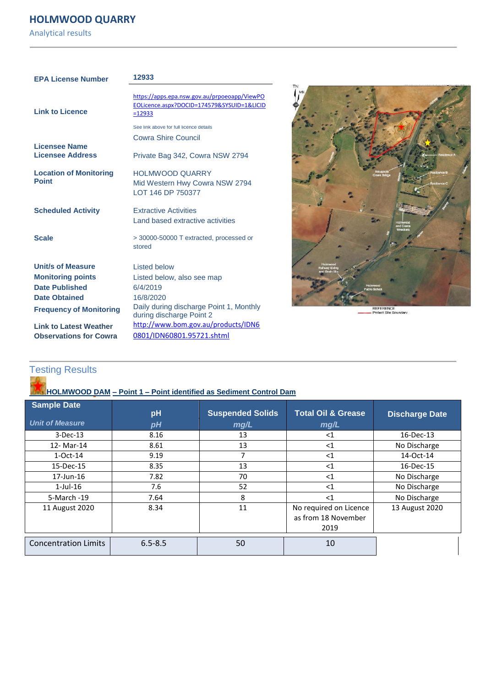## **HOLMWOOD QUARRY**

Analytical results

| <b>EPA License Number</b>                                      | 12933                                                                                                  |  |  |
|----------------------------------------------------------------|--------------------------------------------------------------------------------------------------------|--|--|
| <b>Link to Licence</b>                                         | https://apps.epa.nsw.gov.au/prpoeoapp/ViewPO<br>EOLicence.aspx?DOCID=174579&SYSUID=1&LICID<br>$=12933$ |  |  |
|                                                                | See link above for full licence details                                                                |  |  |
|                                                                | <b>Cowra Shire Council</b>                                                                             |  |  |
| <b>Licensee Name</b><br>Licensee Address                       | Private Bag 342, Cowra NSW 2794                                                                        |  |  |
| <b>Location of Monitoring</b>                                  | <b>HOLMWOOD QUARRY</b>                                                                                 |  |  |
| <b>Point</b>                                                   | Mid Western Hwy Cowra NSW 2794<br>LOT 146 DP 750377                                                    |  |  |
| <b>Scheduled Activity</b>                                      | <b>Extractive Activities</b><br>Land based extractive activities                                       |  |  |
| <b>Scale</b>                                                   | > 30000-50000 T extracted, processed or<br>stored                                                      |  |  |
| Unit/s of Measure                                              | <b>Listed below</b>                                                                                    |  |  |
| <b>Monitoring points</b>                                       | Listed below, also see map                                                                             |  |  |
| <b>Date Published</b>                                          | 6/4/2019                                                                                               |  |  |
| <b>Date Obtained</b>                                           | 16/8/2020                                                                                              |  |  |
| <b>Frequency of Monitoring</b>                                 | Daily during discharge Point 1, Monthly<br>during discharge Point 2                                    |  |  |
| <b>Link to Latest Weather</b><br><b>Observations for Cowra</b> | http://www.bom.gov.au/products/IDN6<br>0801/IDN60801.95721.shtml                                       |  |  |



REFERENCE<br>Prolect Site Boundary

## Testing Results

## **HOLMWOOD DAM – Point 1 – Point identified as Sediment Control Dam**

| <b>Sample Date</b>          | pH          | <b>Suspended Solids</b> | <b>Total Oil &amp; Grease</b>                 | <b>Discharge Date</b> |
|-----------------------------|-------------|-------------------------|-----------------------------------------------|-----------------------|
| <b>Unit of Measure</b>      | pH          | mg/L                    | mg/L                                          |                       |
| $3-Dec-13$                  | 8.16        | 13                      | $<$ 1                                         | 16-Dec-13             |
| 12- Mar-14                  | 8.61        | 13                      | $<$ 1                                         | No Discharge          |
| $1-Oct-14$                  | 9.19        |                         | $<$ 1                                         | 14-Oct-14             |
| 15-Dec-15                   | 8.35        | 13                      | <1                                            | 16-Dec-15             |
| 17-Jun-16                   | 7.82        | 70                      | $<$ 1                                         | No Discharge          |
| $1$ -Jul- $16$              | 7.6         | 52                      | $<$ 1                                         | No Discharge          |
| 5-March -19                 | 7.64        | 8                       | $<$ 1                                         | No Discharge          |
| 11 August 2020              | 8.34        | 11                      | No required on Licence<br>as from 18 November | 13 August 2020        |
|                             |             |                         | 2019                                          |                       |
| <b>Concentration Limits</b> | $6.5 - 8.5$ | 50                      | 10                                            |                       |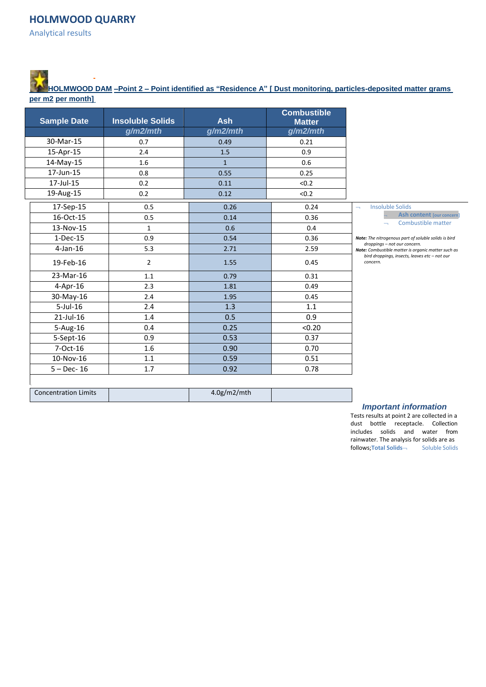Analytical results

**HOLMWOOD DAM –Point 2 – Point identified as "Residence A" [ Dust monitoring, particles-deposited matter grams per m2 per month]**

| <b>Sample Date</b>          | <b>Insoluble Solids</b> | <b>Ash</b>   | <b>Combustible</b><br><b>Matter</b> |                                                                                    |
|-----------------------------|-------------------------|--------------|-------------------------------------|------------------------------------------------------------------------------------|
|                             | g/m2/mth                | g/m2/mth     | g/m2/mth                            |                                                                                    |
| 30-Mar-15                   | 0.7                     | 0.49         | 0.21                                |                                                                                    |
| 15-Apr-15                   | 2.4                     | 1.5          | 0.9                                 |                                                                                    |
| 14-May-15                   | 1.6                     | $\mathbf{1}$ | 0.6                                 |                                                                                    |
| 17-Jun-15                   | 0.8                     | 0.55         | 0.25                                |                                                                                    |
| 17-Jul-15                   | 0.2                     | 0.11         | < 0.2                               |                                                                                    |
| 19-Aug-15                   | 0.2                     | 0.12         | < 0.2                               |                                                                                    |
| 17-Sep-15                   | 0.5                     | 0.26         | 0.24                                | <b>Insoluble Solids</b><br>$\qquad \qquad$                                         |
| 16-Oct-15                   | 0.5                     | 0.14         | 0.36                                | Ash content [our concern]<br>Combustible matter                                    |
| 13-Nov-15                   | $\mathbf 1$             | 0.6          | 0.4                                 |                                                                                    |
| $1-Dec-15$                  | 0.9                     | 0.54         | 0.36                                | Note: The nitrogenous part of soluble solids is bird                               |
| $4$ -Jan-16                 | 5.3                     | 2.71         | 2.59                                | droppings - not our concern.<br>Note: Combustible matter is organic matter such as |
| 19-Feb-16                   | $\overline{2}$          | 1.55         | 0.45                                | bird droppings, insects, leaves etc - not our<br>concern.                          |
| 23-Mar-16                   | 1.1                     | 0.79         | 0.31                                |                                                                                    |
| 4-Apr-16                    | 2.3                     | 1.81         | 0.49                                |                                                                                    |
| 30-May-16                   | 2.4                     | 1.95         | 0.45                                |                                                                                    |
| $5$ -Jul-16                 | 2.4                     | 1.3          | 1.1                                 |                                                                                    |
| $21$ -Jul-16                | 1.4                     | 0.5          | 0.9                                 |                                                                                    |
| 5-Aug-16                    | 0.4                     | 0.25         | < 0.20                              |                                                                                    |
| 5-Sept-16                   | 0.9                     | 0.53         | 0.37                                |                                                                                    |
| 7-Oct-16                    | 1.6                     | 0.90         | 0.70                                |                                                                                    |
| 10-Nov-16                   | 1.1                     | 0.59         | 0.51                                |                                                                                    |
| $5 - Dec - 16$              | 1.7                     | 0.92         | 0.78                                |                                                                                    |
|                             |                         |              |                                     |                                                                                    |
| <b>Concentration Limits</b> |                         | 4.0g/m2/mth  |                                     |                                                                                    |

## *Important information*

Tests results at point 2 are collected in a dust bottle receptacle. Collection includes solids and water from rainwater. The analysis for solids are as follows; Total Solids- Soluble Solids